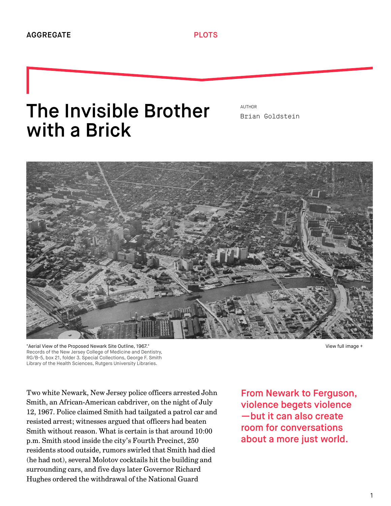## The Invisible Brother with a Brick

AUTHOR [Brian Goldstein](http://we-aggregate.org/people/brian-goldstein)



"Aerial View of the Proposed Newark Site Outline, 1967." Records of the New Jersey College of Medicine and Dentistry, RG/B-5, box 21, folder 3. Special Collections, George F. Smith Library of the Health Sciences, Rutgers University Libraries.

[View full image +](http://we-aggregate.org/media/files/684322310cc75c2d532ef47faf8ad0ec.jpg)

Two white Newark, New Jersey police officers arrested John Smith, an African-American cabdriver, on the night of July 12, 1967. Police claimed Smith had tailgated a patrol car and resisted arrest; witnesses argued that officers had beaten Smith without reason. What is certain is that around 10:00 p.m. Smith stood inside the city's Fourth Precinct, 250 residents stood outside, rumors swirled that Smith had died (he had not), several Molotov cocktails hit the building and surrounding cars, and five days later Governor Richard Hughes ordered the withdrawal of the National Guard

From Newark to Ferguson, violence begets violence —but it can also create room for conversations about a more just world.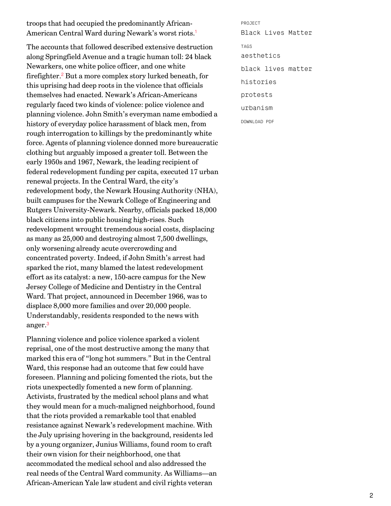troops that had occupied the predominantly African-American Central Ward during Newark's worst riots. [1](#page-6-0)

<span id="page-1-1"></span>The accounts that followed described extensive destruction along Springfield Avenue and a tragic human toll: 24 black Newarkers, one white police officer, and one white firefighter.<sup>[2](#page-6-1)</sup> But a more complex story lurked beneath, for this uprising had deep roots in the violence that officials themselves had enacted. Newark's African-Americans regularly faced two kinds of violence: police violence and planning violence. John Smith's everyman name embodied a history of everyday police harassment of black men, from rough interrogation to killings by the predominantly white force. Agents of planning violence donned more bureaucratic clothing but arguably imposed a greater toll. Between the early 1950s and 1967, Newark, the leading recipient of federal redevelopment funding per capita, executed 17 urban renewal projects. In the Central Ward, the city's redevelopment body, the Newark Housing Authority (NHA), built campuses for the Newark College of Engineering and Rutgers University-Newark. Nearby, officials packed 18,000 black citizens into public housing high-rises. Such redevelopment wrought tremendous social costs, displacing as many as 25,000 and destroying almost 7,500 dwellings, only worsening already acute overcrowding and concentrated poverty. Indeed, if John Smith's arrest had sparked the riot, many blamed the latest redevelopment effort as its catalyst: a new, 150-acre campus for the New Jersey College of Medicine and Dentistry in the Central Ward. That project, announced in December 1966, was to displace 8,000 more families and over 20,000 people. Understandably, residents responded to the news with anger. [3](#page-6-2)

<span id="page-1-2"></span>Planning violence and police violence sparked a violent reprisal, one of the most destructive among the many that marked this era of "long hot summers." But in the Central Ward, this response had an outcome that few could have foreseen. Planning and policing fomented the riots, but the riots unexpectedly fomented a new form of planning. Activists, frustrated by the medical school plans and what they would mean for a much-maligned neighborhood, found that the riots provided a remarkable tool that enabled resistance against Newark's redevelopment machine. With the July uprising hovering in the background, residents led by a young organizer, Junius Williams, found room to craft their own vision for their neighborhood, one that accommodated the medical school and also addressed the real needs of the Central Ward community. As Williams—an African-American Yale law student and civil rights veteran

<span id="page-1-0"></span>PROJECT [Black Lives Matter](http://we-aggregate.org/project/black-lives-matter) TAGS [aesthetics](http://we-aggregate.org/tag/aesthetics) [black lives matter](http://we-aggregate.org/tag/black-lives-matter) [histories](http://we-aggregate.org/tag/histories) [protests](http://we-aggregate.org/tag/protests) [urbanism](http://we-aggregate.org/tag/urbanism)

DOWNLOAD PDF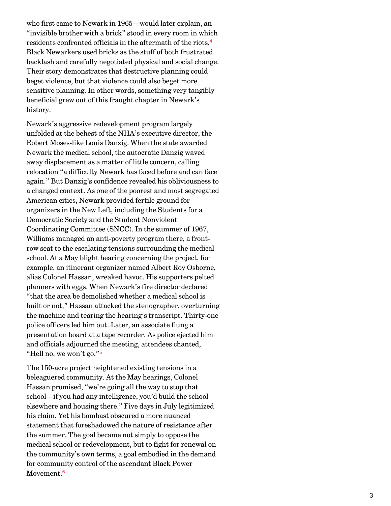<span id="page-2-0"></span>who first came to Newark in 1965—would later explain, an "invisible brother with a brick" stood in every room in which residents confronted officials in the aftermath of the riots. [4](#page-6-3) Black Newarkers used bricks as the stuff of both frustrated backlash and carefully negotiated physical and social change. Their story demonstrates that destructive planning could beget violence, but that violence could also beget more sensitive planning. In other words, something very tangibly beneficial grew out of this fraught chapter in Newark's history.

Newark's aggressive redevelopment program largely unfolded at the behest of the NHA's executive director, the Robert Moses-like Louis Danzig. When the state awarded Newark the medical school, the autocratic Danzig waved away displacement as a matter of little concern, calling relocation "a difficulty Newark has faced before and can face again." But Danzig's confidence revealed his obliviousness to a changed context. As one of the poorest and most segregated American cities, Newark provided fertile ground for organizers in the New Left, including the Students for a Democratic Society and the Student Nonviolent Coordinating Committee (SNCC). In the summer of 1967, Williams managed an anti-poverty program there, a frontrow seat to the escalating tensions surrounding the medical school. At a May blight hearing concerning the project, for example, an itinerant organizer named Albert Roy Osborne, alias Colonel Hassan, wreaked havoc. His supporters pelted planners with eggs. When Newark's fire director declared "that the area be demolished whether a medical school is built or not," Hassan attacked the stenographer, overturning the machine and tearing the hearing's transcript. Thirty-one police officers led him out. Later, an associate flung a presentation board at a tape recorder. As police ejected him and officials adjourned the meeting, attendees chanted, "Hell no, we won't go." [5](#page-6-4)

<span id="page-2-2"></span><span id="page-2-1"></span>The 150-acre project heightened existing tensions in a beleaguered community. At the May hearings, Colonel Hassan promised, "we're going all the way to stop that school—if you had any intelligence, you'd build the school elsewhere and housing there." Five days in July legitimized his claim. Yet his bombast obscured a more nuanced statement that foreshadowed the nature of resistance after the summer. The goal became not simply to oppose the medical school or redevelopment, but to fight for renewal on the community's own terms, a goal embodied in the demand for community control of the ascendant Black Power Movement. [6](#page-6-5)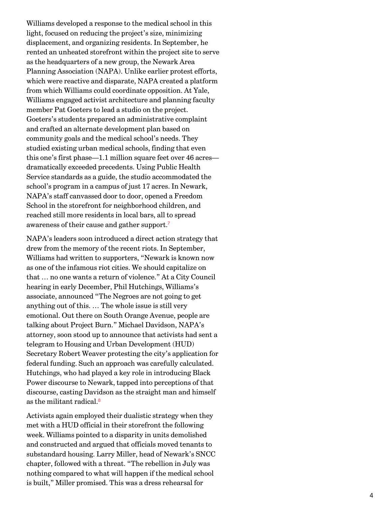Williams developed a response to the medical school in this light, focused on reducing the project's size, minimizing displacement, and organizing residents. In September, he rented an unheated storefront within the project site to serve as the headquarters of a new group, the Newark Area Planning Association (NAPA). Unlike earlier protest efforts, which were reactive and disparate, NAPA created a platform from which Williams could coordinate opposition. At Yale, Williams engaged activist architecture and planning faculty member Pat Goeters to lead a studio on the project. Goeters's students prepared an administrative complaint and crafted an alternate development plan based on community goals and the medical school's needs. They studied existing urban medical schools, finding that even this one's first phase—1.1 million square feet over 46 acres dramatically exceeded precedents. Using Public Health Service standards as a guide, the studio accommodated the school's program in a campus of just 17 acres. In Newark, NAPA's staff canvassed door to door, opened a Freedom School in the storefront for neighborhood children, and reached still more residents in local bars, all to spread awareness of their cause and gather support. [7](#page-6-6)

<span id="page-3-0"></span>NAPA's leaders soon introduced a direct action strategy that drew from the memory of the recent riots. In September, Williams had written to supporters, "Newark is known now as one of the infamous riot cities. We should capitalize on that … no one wants a return of violence." At a City Council hearing in early December, Phil Hutchings, Williams's associate, announced "The Negroes are not going to get anything out of this. … The whole issue is still very emotional. Out there on South Orange Avenue, people are talking about Project Burn." Michael Davidson, NAPA's attorney, soon stood up to announce that activists had sent a telegram to Housing and Urban Development (HUD) Secretary Robert Weaver protesting the city's application for federal funding. Such an approach was carefully calculated. Hutchings, who had played a key role in introducing Black Power discourse to Newark, tapped into perceptions of that discourse, casting Davidson as the straight man and himself as the militant radical. [8](#page-6-7)

<span id="page-3-1"></span>Activists again employed their dualistic strategy when they met with a HUD official in their storefront the following week. Williams pointed to a disparity in units demolished and constructed and argued that officials moved tenants to substandard housing. Larry Miller, head of Newark's SNCC chapter, followed with a threat. "The rebellion in July was nothing compared to what will happen if the medical school is built," Miller promised. This was a dress rehearsal for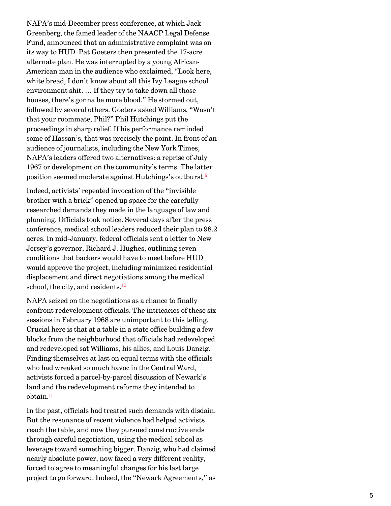NAPA's mid-December press conference, at which Jack Greenberg, the famed leader of the NAACP Legal Defense Fund, announced that an administrative complaint was on its way to HUD. Pat Goeters then presented the 17-acre alternate plan. He was interrupted by a young African-American man in the audience who exclaimed, "Look here, white bread, I don't know about all this Ivy League school environment shit. … If they try to take down all those houses, there's gonna be more blood." He stormed out, followed by several others. Goeters asked Williams, "Wasn't that your roommate, Phil?" Phil Hutchings put the proceedings in sharp relief. If his performance reminded some of Hassan's, that was precisely the point. In front of an audience of journalists, including the New York Times, NAPA's leaders offered two alternatives: a reprise of July 1967 or development on the community's terms. The latter position seemed moderate against Hutchings's outburst. [9](#page-7-0)

<span id="page-4-0"></span>Indeed, activists' repeated invocation of the "invisible brother with a brick" opened up space for the carefully researched demands they made in the language of law and planning. Officials took notice. Several days after the press conference, medical school leaders reduced their plan to 98.2 acres. In mid-January, federal officials sent a letter to New Jersey's governor, Richard J. Hughes, outlining seven conditions that backers would have to meet before HUD would approve the project, including minimized residential displacement and direct negotiations among the medical school, the city, and residents.<sup>[10](#page-7-1)</sup>

<span id="page-4-1"></span>NAPA seized on the negotiations as a chance to finally confront redevelopment officials. The intricacies of these six sessions in February 1968 are unimportant to this telling. Crucial here is that at a table in a state office building a few blocks from the neighborhood that officials had redeveloped and redeveloped sat Williams, his allies, and Louis Danzig. Finding themselves at last on equal terms with the officials who had wreaked so much havoc in the Central Ward, activists forced a parcel-by-parcel discussion of Newark's land and the redevelopment reforms they intended to obtain. [11](#page-7-2)

<span id="page-4-2"></span>In the past, officials had treated such demands with disdain. But the resonance of recent violence had helped activists reach the table, and now they pursued constructive ends through careful negotiation, using the medical school as leverage toward something bigger. Danzig, who had claimed nearly absolute power, now faced a very different reality, forced to agree to meaningful changes for his last large project to go forward. Indeed, the "Newark Agreements," as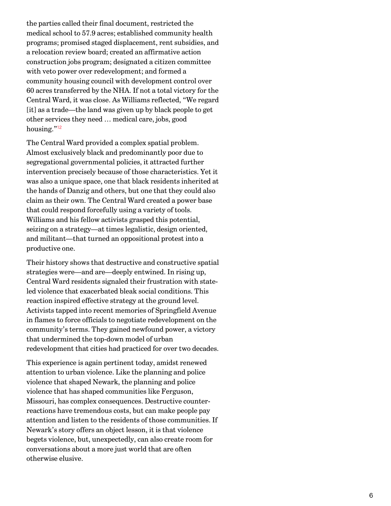the parties called their final document, restricted the medical school to 57.9 acres; established community health programs; promised staged displacement, rent subsidies, and a relocation review board; created an affirmative action construction jobs program; designated a citizen committee with veto power over redevelopment; and formed a community housing council with development control over 60 acres transferred by the NHA. If not a total victory for the Central Ward, it was close. As Williams reflected, "We regard [it] as a trade—the land was given up by black people to get other services they need … medical care, jobs, good housing." [12](#page-7-3)

<span id="page-5-0"></span>The Central Ward provided a complex spatial problem. Almost exclusively black and predominantly poor due to segregational governmental policies, it attracted further intervention precisely because of those characteristics. Yet it was also a unique space, one that black residents inherited at the hands of Danzig and others, but one that they could also claim as their own. The Central Ward created a power base that could respond forcefully using a variety of tools. Williams and his fellow activists grasped this potential, seizing on a strategy—at times legalistic, design oriented, and militant—that turned an oppositional protest into a productive one.

Their history shows that destructive and constructive spatial strategies were—and are—deeply entwined. In rising up, Central Ward residents signaled their frustration with stateled violence that exacerbated bleak social conditions. This reaction inspired effective strategy at the ground level. Activists tapped into recent memories of Springfield Avenue in flames to force officials to negotiate redevelopment on the community's terms. They gained newfound power, a victory that undermined the top-down model of urban redevelopment that cities had practiced for over two decades.

This experience is again pertinent today, amidst renewed attention to urban violence. Like the planning and police violence that shaped Newark, the planning and police violence that has shaped communities like Ferguson, Missouri, has complex consequences. Destructive counterreactions have tremendous costs, but can make people pay attention and listen to the residents of those communities. If Newark's story offers an object lesson, it is that violence begets violence, but, unexpectedly, can also create room for conversations about a more just world that are often otherwise elusive.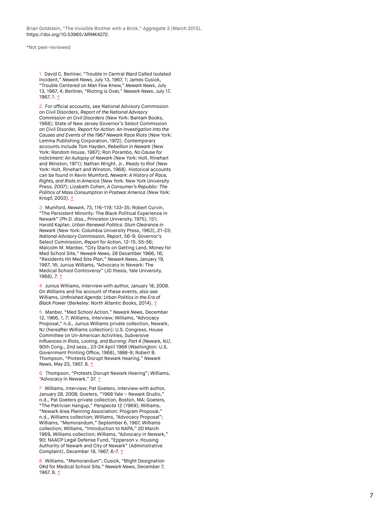Brian Goldstein, "The Invisible Brother with a Brick," Aggregate 3 (March 2015), [https://doi.org/10.53965/ARMK4272.](https://doi.org/10.53965/ARMK4272)

\*Not peer-reviewed

<span id="page-6-0"></span>1 David C. Berliner, "Trouble in Central Ward Called Isolated Incident," Newark News, July 13, 1967, 1; James Cusick, "Trouble Centered on Man Few Knew," Newark News, July 13, 1967, 4; Berliner, "Rioting is Over," Newark News, July 17, 1967, 1. <u>[↑](#page-1-0)</u>

<span id="page-6-1"></span>2 For official accounts, see National Advisory Commission on Civil Disorders, Report of the National Advisory Commission on Civil Disorders (New York: Bantam Books, 1968); State of New Jersey Governor's Select Commission on Civil Disorder, Report for Action: An Investigation Into the Causes and Events of the 1967 Newark Race Riots (New York: Lemma Publishing Corporation, 1972). Contemporary accounts include Tom Hayden, Rebellion in Newark (New York: Random House, 1967); Ron Porambo, No Cause for Indictment: An Autopsy of Newark (New York: Holt, Rinehart and Winston, 1971); Nathan Wright, Jr., Ready to Riot (New York: Holt, Rinehart and Winston, 1968). Historical accounts can be found in Kevin Mumford, Newark: A History of Race, Rights, and Riots in America (New York: New York University Press, 2007); Lizabeth Cohen, A Consumer's Republic: The Politics of Mass Consumption in Postwar America (New York: Knopf, 2003). [↑](#page-1-1)

<span id="page-6-2"></span>3 Mumford, Newark, 73, 116-119; 133-35; Robert Curvin, "The Persistent Minority: The Black Political Experience in Newark" (Ph.D. diss., Princeton University, 1975), 151; Harold Kaplan, Urban Renewal Politics: Slum Clearance in Newark (New York: Columbia University Press, 1963), 21-23; National Advisory Commission, Report, 56-9; Governor's Select Commission, Report for Action, 12-15, 55-56; Malcolm M. Manber, "City Starts on Getting Land, Money for Med School Site," Newark News, 28 December 1966, 16; "Residents Hit Med Site Plan," Newark News, January 19, 1967, 16; Junius Williams, "Advocacy in Newark: The Medical School Controversy" (JD thesis, Yale University, 1968), 7. 1

<span id="page-6-3"></span>4 Junius Williams, interview with author, January 18, 2008. On Williams and his account of these events, also see Williams, Unfinished Agenda: Urban Politics in the Era of Black Power (Berkeley: North Atlantic Books, 2014). [↑](#page-2-0)

<span id="page-6-4"></span>5 Manber, "Med School Action," Newark News, December 12, 1966, 1, 7; Williams, interview; Williams, "Advocacy Proposal," n.d., Junius Williams private collection, Newark, NJ (hereafter Williams collection); U.S. Congress, House Committee on Un-American Activities, Subversive Influences in Riots, Looting, and Burning: Part 4 (Newark, NJ), 90th Cong., 2nd sess., 23-24 April 1968 (Washington: U.S. Government Printing Office, 1968), 1888-9; Robert B. Thompson, "Protests Disrupt Newark Hearing," Newark News, May 23, 1967, 8. [↑](#page-2-1)

<span id="page-6-5"></span>6 Thompson, "Protests Disrupt Newark Hearing"; Williams, "Advocacy in Newark," 37. 1

<span id="page-6-6"></span>7 Williams, interview; Pat Goeters, interview with author, January 28, 2008; Goeters, "1968 Yale – Newark Studio," n.d., Pat Goeters private collection, Boston, MA; Goeters, "The Patrician Hangup," Perspecta 12 (1969); Williams, "Newark Area Planning Association: Program Proposal," n.d., Williams collection; Williams, "Advocacy Proposal"; Williams, "Memorandum," September 6, 1967, Williams collection; Williams, "Introduction to NAPA," 20 March 1969, Williams collection; Williams, "Advocacy in Newark," 90; NAACP Legal Defense Fund, "Epperson v. Housing Authority of Newark and City of Newark" (Administrative Complaint), December 19, 1967, 6-7. [↑](#page-3-0)

<span id="page-6-7"></span>8 Williams, "Memorandum"; Cusick, "Blight Designation OKd for Medical School Site," Newark News, December 7, 1967, 8. [↑](#page-3-1)